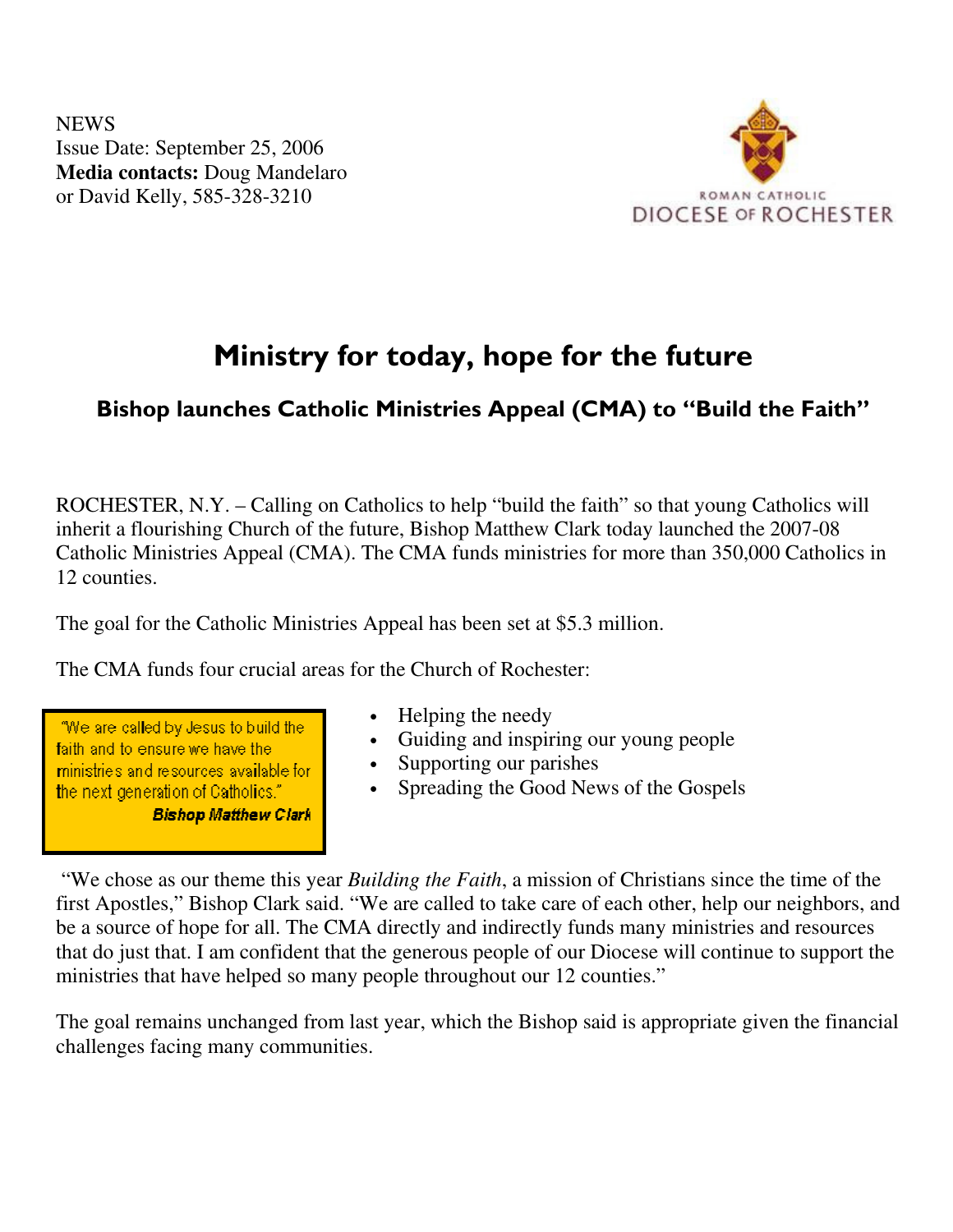NEWS Issue Date: September 25, 2006 **Media contacts:** Doug Mandelaro or David Kelly, 585-328-3210



## Ministry for today, hope for the future

## Bishop launches Catholic Ministries Appeal (CMA) to "Build the Faith"

ROCHESTER, N.Y. – Calling on Catholics to help "build the faith" so that young Catholics will inherit a flourishing Church of the future, Bishop Matthew Clark today launched the 2007-08 Catholic Ministries Appeal (CMA). The CMA funds ministries for more than 350,000 Catholics in 12 counties.

The goal for the Catholic Ministries Appeal has been set at \$5.3 million.

The CMA funds four crucial areas for the Church of Rochester:

"We are called by Jesus to build the faith and to ensure we have the ministries and resources available for the next generation of Catholics." **Bishop Matthew Clark** 

- Helping the needy
- Guiding and inspiring our young people
- Supporting our parishes
- Spreading the Good News of the Gospels

 "We chose as our theme this year *Building the Faith*, a mission of Christians since the time of the first Apostles," Bishop Clark said. "We are called to take care of each other, help our neighbors, and be a source of hope for all. The CMA directly and indirectly funds many ministries and resources that do just that. I am confident that the generous people of our Diocese will continue to support the ministries that have helped so many people throughout our 12 counties."

The goal remains unchanged from last year, which the Bishop said is appropriate given the financial challenges facing many communities.